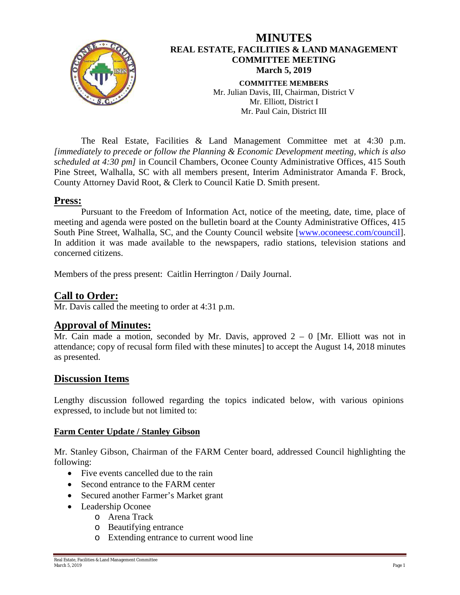

The Real Estate, Facilities & Land Management Committee met at 4:30 p.m. *[immediately to precede or follow the Planning & Economic Development meeting, which is also scheduled at 4:30 pm]* in Council Chambers, Oconee County Administrative Offices, 415 South Pine Street, Walhalla, SC with all members present, Interim Administrator Amanda F. Brock, County Attorney David Root, & Clerk to Council Katie D. Smith present.

#### **Press:**

Pursuant to the Freedom of Information Act, notice of the meeting, date, time, place of meeting and agenda were posted on the bulletin board at the County Administrative Offices, 415 South Pine Street, Walhalla, SC, and the County Council website [\[www.oconeesc.com/council\]](http://www.oconeesc.com/council). In addition it was made available to the newspapers, radio stations, television stations and concerned citizens.

Members of the press present: Caitlin Herrington / Daily Journal.

## **Call to Order:**

Mr. Davis called the meeting to order at 4:31 p.m.

## **Approval of Minutes:**

Mr. Cain made a motion, seconded by Mr. Davis, approved  $2 - 0$  [Mr. Elliott was not in attendance; copy of recusal form filed with these minutes] to accept the August 14, 2018 minutes as presented.

# **Discussion Items**

Lengthy discussion followed regarding the topics indicated below, with various opinions expressed, to include but not limited to:

#### **Farm Center Update / Stanley Gibson**

Mr. Stanley Gibson, Chairman of the FARM Center board, addressed Council highlighting the following:

- Five events cancelled due to the rain
- Second entrance to the FARM center
- Secured another Farmer's Market grant
- Leadership Oconee
	- o Arena Track
		- o Beautifying entrance
		- o Extending entrance to current wood line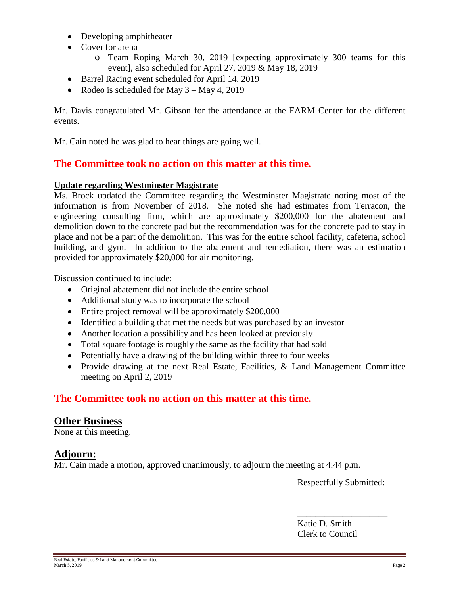- Developing amphitheater
- Cover for arena
	- o Team Roping March 30, 2019 [expecting approximately 300 teams for this event], also scheduled for April 27, 2019 & May 18, 2019
- Barrel Racing event scheduled for April 14, 2019
- Rodeo is scheduled for May 3 May 4, 2019

Mr. Davis congratulated Mr. Gibson for the attendance at the FARM Center for the different events.

Mr. Cain noted he was glad to hear things are going well.

# **The Committee took no action on this matter at this time.**

#### **Update regarding Westminster Magistrate**

Ms. Brock updated the Committee regarding the Westminster Magistrate noting most of the information is from November of 2018. She noted she had estimates from Terracon, the engineering consulting firm, which are approximately \$200,000 for the abatement and demolition down to the concrete pad but the recommendation was for the concrete pad to stay in place and not be a part of the demolition. This was for the entire school facility, cafeteria, school building, and gym. In addition to the abatement and remediation, there was an estimation provided for approximately \$20,000 for air monitoring.

Discussion continued to include:

- Original abatement did not include the entire school
- Additional study was to incorporate the school
- Entire project removal will be approximately \$200,000
- Identified a building that met the needs but was purchased by an investor
- Another location a possibility and has been looked at previously
- Total square footage is roughly the same as the facility that had sold
- Potentially have a drawing of the building within three to four weeks
- Provide drawing at the next Real Estate, Facilities, & Land Management Committee meeting on April 2, 2019

# **The Committee took no action on this matter at this time.**

#### **Other Business**

None at this meeting.

## **Adjourn:**

Mr. Cain made a motion, approved unanimously, to adjourn the meeting at 4:44 p.m.

Respectfully Submitted:

\_\_\_\_\_\_\_\_\_\_\_\_\_\_\_\_\_\_\_\_

Katie D. Smith Clerk to Council